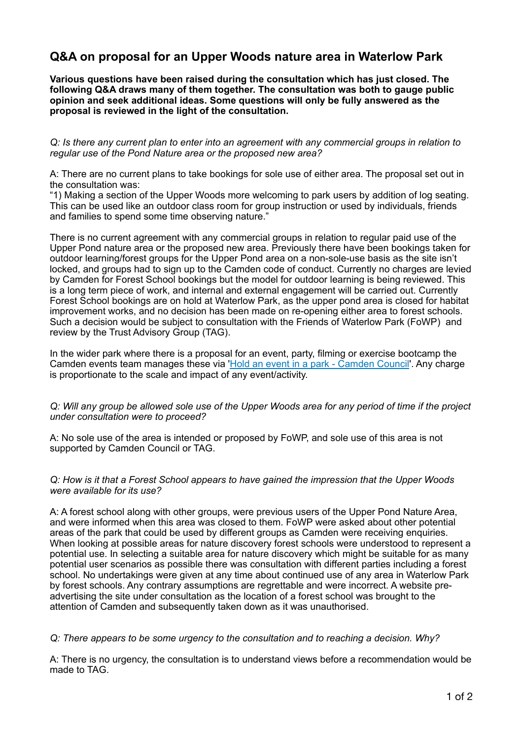# **Q&A on proposal for an Upper Woods nature area in Waterlow Park**

**Various questions have been raised during the consultation which has just closed. The following Q&A draws many of them together. The consultation was both to gauge public opinion and seek additional ideas. Some questions will only be fully answered as the proposal is reviewed in the light of the consultation.** 

*Q: Is there any current plan to enter into an agreement with any commercial groups in relation to regular use of the Pond Nature area or the proposed new area?* 

A: There are no current plans to take bookings for sole use of either area. The proposal set out in the consultation was:

"1) Making a section of the Upper Woods more welcoming to park users by addition of log seating. This can be used like an outdoor class room for group instruction or used by individuals, friends and families to spend some time observing nature."

There is no current agreement with any commercial groups in relation to regular paid use of the Upper Pond nature area or the proposed new area. Previously there have been bookings taken for outdoor learning/forest groups for the Upper Pond area on a non-sole-use basis as the site isn't locked, and groups had to sign up to the Camden code of conduct. Currently no charges are levied by Camden for Forest School bookings but the model for outdoor learning is being reviewed. This is a long term piece of work, and internal and external engagement will be carried out. Currently Forest School bookings are on hold at Waterlow Park, as the upper pond area is closed for habitat improvement works, and no decision has been made on re-opening either area to forest schools. Such a decision would be subject to consultation with the Friends of Waterlow Park (FoWP) and review by the Trust Advisory Group (TAG).

In the wider park where there is a proposal for an event, party, filming or exercise bootcamp the Camden events team manages these via '[Hold an event in a park - Camden Council](https://www.camden.gov.uk/hold-event-park#dfmo)'. Any charge is proportionate to the scale and impact of any event/activity.

#### *Q: Will any group be allowed sole use of the Upper Woods area for any period of time if the project under consultation were to proceed?*

A: No sole use of the area is intended or proposed by FoWP, and sole use of this area is not supported by Camden Council or TAG.

# *Q: How is it that a Forest School appears to have gained the impression that the Upper Woods were available for its use?*

A: A forest school along with other groups, were previous users of the Upper Pond Nature Area, and were informed when this area was closed to them. FoWP were asked about other potential areas of the park that could be used by different groups as Camden were receiving enquiries. When looking at possible areas for nature discovery forest schools were understood to represent a potential use. In selecting a suitable area for nature discovery which might be suitable for as many potential user scenarios as possible there was consultation with different parties including a forest school. No undertakings were given at any time about continued use of any area in Waterlow Park by forest schools. Any contrary assumptions are regrettable and were incorrect. A website preadvertising the site under consultation as the location of a forest school was brought to the attention of Camden and subsequently taken down as it was unauthorised.

#### *Q: There appears to be some urgency to the consultation and to reaching a decision. Why?*

A: There is no urgency, the consultation is to understand views before a recommendation would be made to TAG.